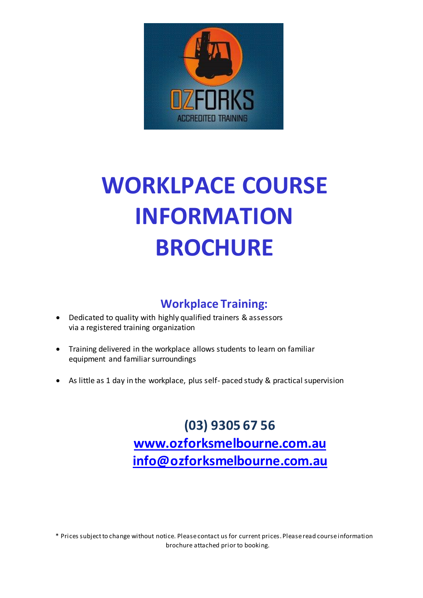

# **WORKLPACE COURSE INFORMATION BROCHURE**

# **Workplace Training:**

- Dedicated to quality with highly qualified trainers & assessors via a registered training organization
- Training delivered in the workplace allows students to learn on familiar equipment and familiar surroundings
- As little as 1 day in the workplace, plus self- paced study & practical supervision

**(03) 9305 67 56 [www.ozforksmelbourne.com.au](http://www.ozforksmelbourne.com.au/) [info@ozforksmelbourne.com.au](mailto:info@itavic.com.au)**

\* Prices subject to change without notice. Please contact us for current prices. Please read course information brochure attached prior to booking.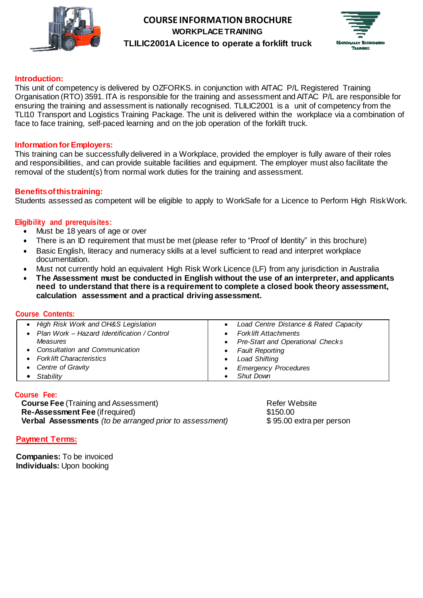



#### **Introduction:**

This unit of competency is delivered by OZFORKS. in conjunction with AITAC P/L Registered Training Organisation (RTO) 3591. ITA is responsible for the training and assessment and AITAC P/L are responsible for ensuring the training and assessment is nationally recognised. TLILIC2001 is a unit of competency from the TLI10 Transport and Logistics Training Package. The unit is delivered within the workplace via a combination of face to face training, self-paced learning and on the job operation of the forklift truck.

#### **Information forEmployers:**

This training can be successfully delivered in a Workplace, provided the employer is fully aware of their roles and responsibilities, and can provide suitable facilities and equipment. The employer must also facilitate the removal of the student(s) from normal work duties for the training and assessment.

#### **Benefitsofthistraining:**

Students assessed as competent will be eligible to apply to WorkSafe for a Licence to Perform High RiskWork.

#### **Eligibility and prerequisites:**

- Must be 18 years of age or over
- There is an ID requirement that must be met (please refer to "Proof of Identity" in this brochure)
- Basic English, literacy and numeracy skills at a level sufficient to read and interpret workplace documentation.
- Must not currently hold an equivalent High Risk Work Licence (LF) from any jurisdiction in Australia
- **The Assessment must be conducted in English without the use of an interpreter, and applicants need to understand that there is a requirement to complete a closed book theory assessment, calculation assessment and a practical driving assessment.**

#### **Course Contents:**

| • High Risk Work and OH&S Legislation         | Load Centre Distance & Rated Capacity<br>$\bullet$ |
|-----------------------------------------------|----------------------------------------------------|
| • Plan Work - Hazard Identification / Control | • Fork lift Attachments                            |
| Measures                                      | • Pre-Start and Operational Checks                 |
| • Consultation and Communication              | • Fault Reporting                                  |
| • Fork lift Characteristics                   | <b>Load Shifting</b><br>$\bullet$                  |
| • Centre of Gravity                           | • Emergency Procedures                             |
| Stability                                     | Shut Down                                          |

#### **Course Fee:**

**Course Fee** (Training and Assessment) **Refer Website** Refer Website **Re-Assessment Fee** (if required) \$150.00 **Verbal Assessments** *(to be arranged prior to assessment)* \$95.00 extra per person

### **Payment Terms:**

**Companies:** To be invoiced **Individuals:** Upon booking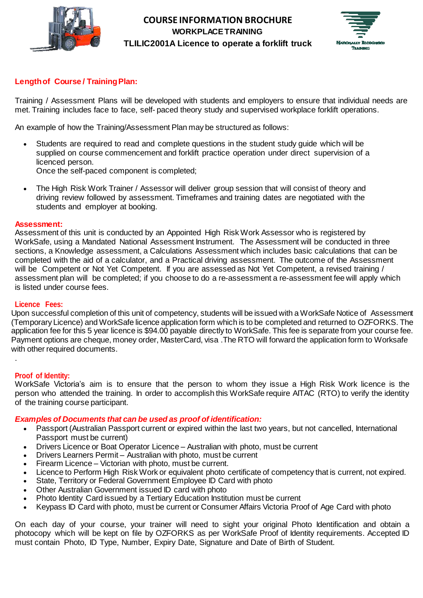



# **Length of Course / Training Plan:**

Training / Assessment Plans will be developed with students and employers to ensure that individual needs are met. Training includes face to face, self- paced theory study and supervised workplace forklift operations.

An example of how the Training/Assessment Plan may be structured as follows:

- Students are required to read and complete questions in the student study guide which will be supplied on course commencement and forklift practice operation under direct supervision of a licenced person. Once the self-paced component is completed;
- 
- The High Risk Work Trainer / Assessor will deliver group session that will consist of theory and driving review followed by assessment. Timeframes and training dates are negotiated with the students and employer at booking.

#### **Assessment:**

Assessment of this unit is conducted by an Appointed High Risk Work Assessor who is registered by WorkSafe, using a Mandated National Assessment Instrument. The Assessment will be conducted in three sections, a Knowledge assessment, a Calculations Assessment which includes basic calculations that can be completed with the aid of a calculator, and a Practical driving assessment. The outcome of the Assessment will be Competent or Not Yet Competent. If you are assessed as Not Yet Competent, a revised training / assessment plan will be completed; if you choose to do a re-assessment a re-assessment fee will apply which is listed under course fees.

#### **Licence Fees:**

Upon successful completion of this unit of competency, students will be issued with a WorkSafe Notice of Assessment (Temporary Licence) and WorkSafe licence application form which is to be completed and returned to OZFORKS. The application fee for this 5 year licence is \$94.00 payable directly to WorkSafe. This fee is separate from your course fee. Payment options are cheque, money order, MasterCard, visa .The RTO will forward the application form to Worksafe with other required documents.

#### **Proof of Identity:**

.

WorkSafe Victoria's aim is to ensure that the person to whom they issue a High Risk Work licence is the person who attended the training. In order to accomplish this WorkSafe require AITAC (RTO) to verify the identity of the training course participant.

#### *Examples of Documents that can be used as proof of identification:*

- Passport (Australian Passport current or expired within the last two years, but not cancelled, International Passport must be current)
- Drivers Licence or Boat Operator Licence Australian with photo, must be current
- Drivers Learners Permit Australian with photo, must be current
- Firearm Licence Victorian with photo, must be current.
- Licence to Perform High Risk Work or equivalent photo certificate of competency that is current, not expired.
- State, Territory or Federal Government Employee ID Card with photo
- Other Australian Government issued ID card with photo
- Photo Identity Card issued by a Tertiary Education Institution must be current
- Keypass ID Card with photo, must be current or Consumer Affairs Victoria Proof of Age Card with photo

On each day of your course, your trainer will need to sight your original Photo Identification and obtain a photocopy which will be kept on file by OZFORKS as per WorkSafe Proof of Identity requirements. Accepted ID must contain Photo, ID Type, Number, Expiry Date, Signature and Date of Birth of Student.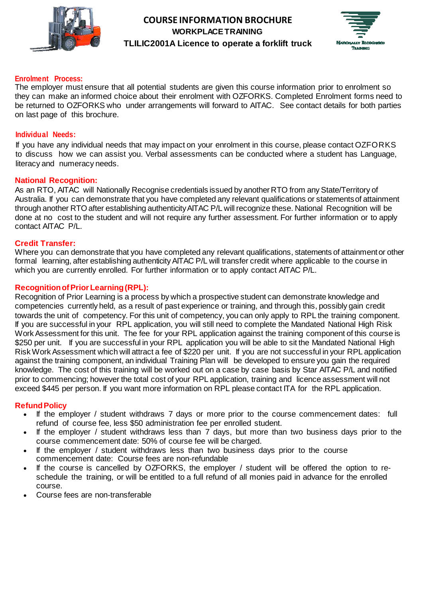



#### **Enrolment Process:**

The employer must ensure that all potential students are given this course information prior to enrolment so they can make an informed choice about their enrolment with OZFORKS. Completed Enrolment forms need to be returned to OZFORKS who under arrangements will forward to AITAC. See contact details for both parties on last page of this brochure.

#### **Individual Needs:**

If you have any individual needs that may impact on your enrolment in this course, please contact OZFORKS to discuss how we can assist you. Verbal assessments can be conducted where a student has Language, literacy and numeracy needs.

#### **National Recognition:**

As an RTO, AITAC will Nationally Recognise credentials issued by another RTO from any State/Territory of Australia. If you can demonstrate that you have completed any relevant qualifications or statementsof attainment through another RTO after establishing authenticityAITAC P/L will recognize these. National Recognition will be done at no cost to the student and will not require any further assessment. For further information or to apply contact AITAC P/L.

#### **Credit Transfer:**

Where you can demonstrate that you have completed any relevant qualifications, statements of attainmentor other formal learning, after establishing authenticity AITAC P/L will transfer credit where applicable to the course in which you are currently enrolled. For further information or to apply contact AITAC P/L.

#### **RecognitionofPriorLearning(RPL):**

Recognition of Prior Learning is a process by which a prospective student can demonstrate knowledge and competencies currently held, as a result of past experience or training, and through this, possibly gain credit towards the unit of competency. For this unit of competency, you can only apply to RPL the training component. If you are successful in your RPL application, you will still need to complete the Mandated National High Risk Work Assessment for this unit. The fee for your RPL application against the training component of this course is \$250 per unit. If you are successful in your RPL application you will be able to sit the Mandated National High Risk Work Assessment which will attract a fee of \$220 per unit. If you are not successful in your RPL application against the training component, an individual Training Plan will be developed to ensure you gain the required knowledge. The cost of this training will be worked out on a case by case basis by Star AITAC P/L and notified prior to commencing; however the total cost of your RPL application, training and licence assessment will not exceed \$445 per person. If you want more information on RPL please contact ITA for the RPL application.

#### **RefundPolicy**

- If the employer / student withdraws 7 days or more prior to the course commencement dates: full refund of course fee, less \$50 administration fee per enrolled student.
- If the employer / student withdraws less than 7 days, but more than two business days prior to the course commencement date: 50% of course fee will be charged.
- If the employer / student withdraws less than two business days prior to the course commencement date: Course fees are non-refundable
- If the course is cancelled by OZFORKS, the employer / student will be offered the option to reschedule the training, or will be entitled to a full refund of all monies paid in advance for the enrolled course.
- Course fees are non-transferable